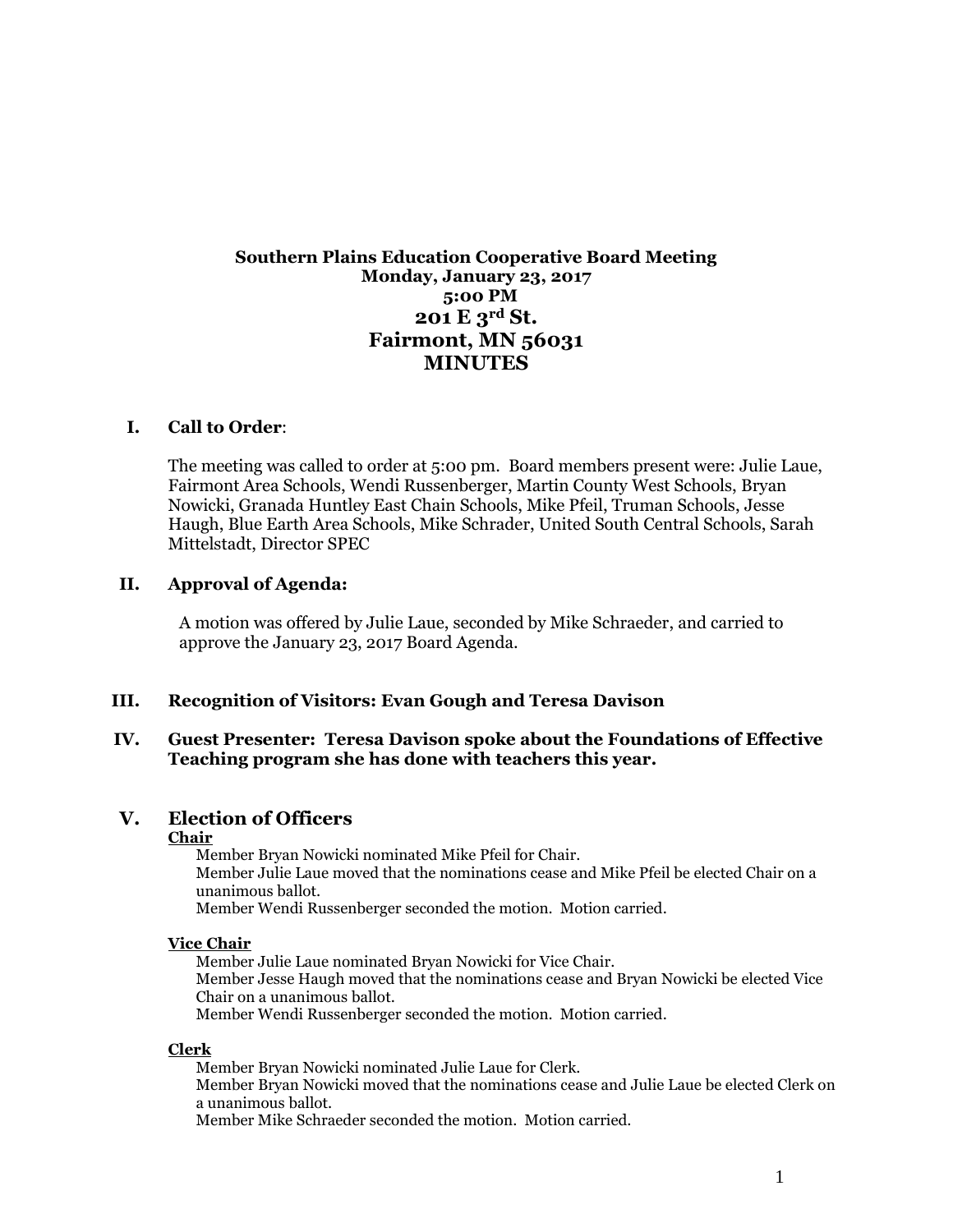# **Southern Plains Education Cooperative Board Meeting Monday, January 23, 2017 5:00 PM 201 E 3rd St. Fairmont, MN 56031 MINUTES**

#### **I. Call to Order**:

The meeting was called to order at 5:00 pm. Board members present were: Julie Laue, Fairmont Area Schools, Wendi Russenberger, Martin County West Schools, Bryan Nowicki, Granada Huntley East Chain Schools, Mike Pfeil, Truman Schools, Jesse Haugh, Blue Earth Area Schools, Mike Schrader, United South Central Schools, Sarah Mittelstadt, Director SPEC

#### **II. Approval of Agenda:**

A motion was offered by Julie Laue, seconded by Mike Schraeder, and carried to approve the January 23, 2017 Board Agenda.

#### **III. Recognition of Visitors: Evan Gough and Teresa Davison**

#### **IV. Guest Presenter: Teresa Davison spoke about the Foundations of Effective Teaching program she has done with teachers this year.**

#### **V. Election of Officers**

#### **Chair**

Member Bryan Nowicki nominated Mike Pfeil for Chair. Member Julie Laue moved that the nominations cease and Mike Pfeil be elected Chair on a unanimous ballot.

Member Wendi Russenberger seconded the motion. Motion carried.

#### **Vice Chair**

Member Julie Laue nominated Bryan Nowicki for Vice Chair. Member Jesse Haugh moved that the nominations cease and Bryan Nowicki be elected Vice Chair on a unanimous ballot. Member Wendi Russenberger seconded the motion. Motion carried.

#### **Clerk**

Member Bryan Nowicki nominated Julie Laue for Clerk. Member Bryan Nowicki moved that the nominations cease and Julie Laue be elected Clerk on a unanimous ballot. Member Mike Schraeder seconded the motion. Motion carried.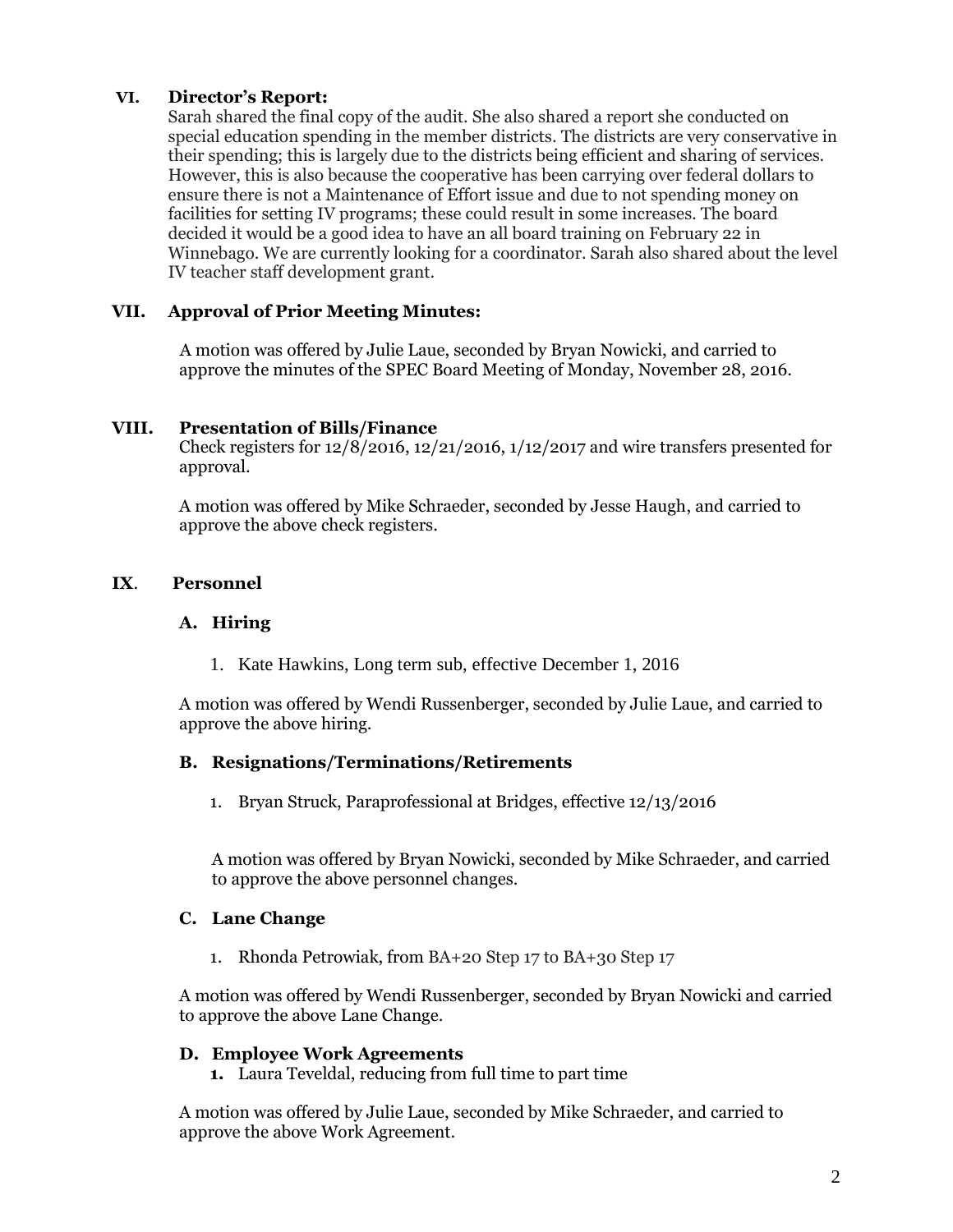# **VI. Director's Report:**

Sarah shared the final copy of the audit. She also shared a report she conducted on special education spending in the member districts. The districts are very conservative in their spending; this is largely due to the districts being efficient and sharing of services. However, this is also because the cooperative has been carrying over federal dollars to ensure there is not a Maintenance of Effort issue and due to not spending money on facilities for setting IV programs; these could result in some increases. The board decided it would be a good idea to have an all board training on February 22 in Winnebago. We are currently looking for a coordinator. Sarah also shared about the level IV teacher staff development grant.

### **VII. Approval of Prior Meeting Minutes:**

A motion was offered by Julie Laue, seconded by Bryan Nowicki, and carried to approve the minutes of the SPEC Board Meeting of Monday, November 28, 2016.

### **VIII. Presentation of Bills/Finance**

Check registers for  $12/8/2016$ ,  $12/21/2016$ ,  $1/12/2017$  and wire transfers presented for approval.

A motion was offered by Mike Schraeder, seconded by Jesse Haugh, and carried to approve the above check registers.

### **IX**. **Personnel**

#### **A. Hiring**

1. Kate Hawkins, Long term sub, effective December 1, 2016

A motion was offered by Wendi Russenberger, seconded by Julie Laue, and carried to approve the above hiring.

#### **B. Resignations/Terminations/Retirements**

1. Bryan Struck, Paraprofessional at Bridges, effective 12/13/2016

A motion was offered by Bryan Nowicki, seconded by Mike Schraeder, and carried to approve the above personnel changes.

#### **C. Lane Change**

1. Rhonda Petrowiak, from BA+20 Step 17 to BA+30 Step 17

A motion was offered by Wendi Russenberger, seconded by Bryan Nowicki and carried to approve the above Lane Change.

#### **D. Employee Work Agreements**

**1.** Laura Teveldal, reducing from full time to part time

A motion was offered by Julie Laue, seconded by Mike Schraeder, and carried to approve the above Work Agreement.